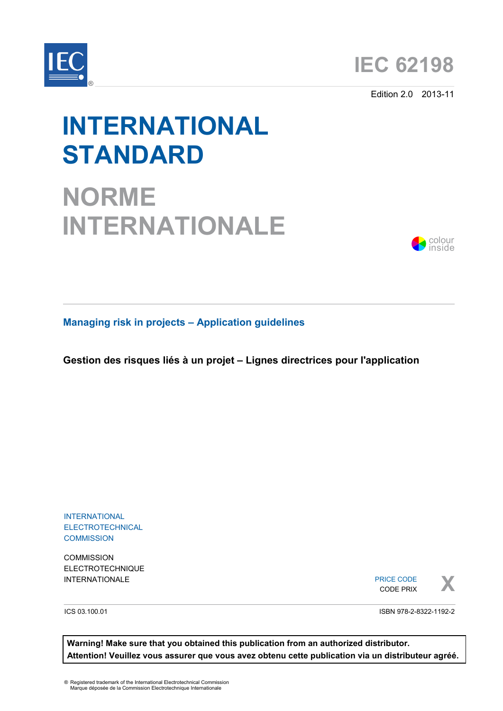

Edition 2.0 2013-11

# **INTERNATIONAL STANDARD**

**NORME INTERNATIONALE**



**Managing risk in projects – Application guidelines**

**Gestion des risques liés à un projet – Lignes directrices pour l'application**

INTERNATIONAL **ELECTROTECHNICAL COMMISSION** 

**COMMISSION** ELECTROTECHNIQUE

INTERNATIONALE PRICE CODE PRIX PRICE CODE CODE PRIX



ICS 03.100.01

ISBN 978-2-8322-1192-2

**Warning! Make sure that you obtained this publication from an authorized distributor. Attention! Veuillez vous assurer que vous avez obtenu cette publication via un distributeur agréé.**

® Registered trademark of the International Electrotechnical Commission Marque déposée de la Commission Electrotechnique Internationale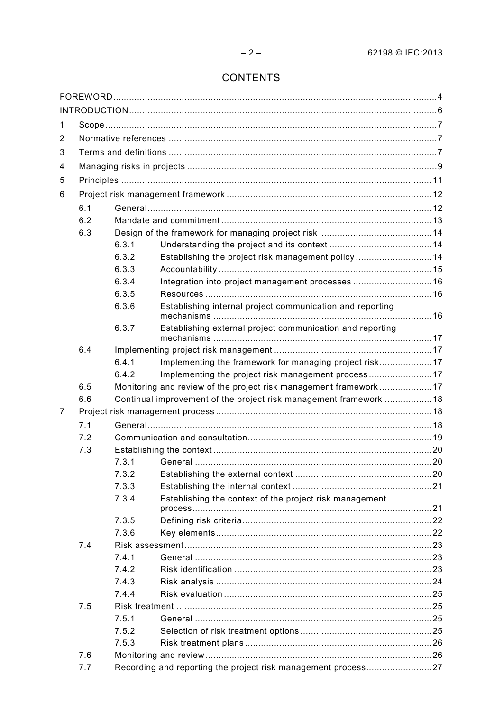| <b>CONTENTS</b> |  |
|-----------------|--|
|-----------------|--|

| 1              |            |       |                                                                    |  |
|----------------|------------|-------|--------------------------------------------------------------------|--|
| 2              |            |       |                                                                    |  |
| 3              |            |       |                                                                    |  |
| 4              |            |       |                                                                    |  |
| 5              |            |       |                                                                    |  |
| 6              |            |       |                                                                    |  |
|                |            |       |                                                                    |  |
|                | 6.1        |       |                                                                    |  |
|                | 6.2<br>6.3 |       |                                                                    |  |
|                |            | 6.3.1 |                                                                    |  |
|                |            | 6.3.2 | Establishing the project risk management policy14                  |  |
|                |            | 6.3.3 |                                                                    |  |
|                |            | 6.3.4 |                                                                    |  |
|                |            | 6.3.5 |                                                                    |  |
|                |            | 6.3.6 | Establishing internal project communication and reporting          |  |
|                |            |       |                                                                    |  |
|                |            | 6.3.7 | Establishing external project communication and reporting          |  |
|                | 6.4        |       |                                                                    |  |
|                |            | 6.4.1 | Implementing the framework for managing project risk17             |  |
|                |            | 6.4.2 | Implementing the project risk management process17                 |  |
|                | 6.5        |       | Monitoring and review of the project risk management framework 17  |  |
|                | 6.6        |       | Continual improvement of the project risk management framework  18 |  |
| $\overline{7}$ |            |       |                                                                    |  |
|                | 7.1        |       |                                                                    |  |
|                | 7.2        |       |                                                                    |  |
|                | 7.3        |       |                                                                    |  |
|                |            | 7.3.1 |                                                                    |  |
|                |            | 7.3.2 |                                                                    |  |
|                |            | 7.3.3 |                                                                    |  |
|                |            | 7.3.4 | Establishing the context of the project risk management            |  |
|                |            | 7.3.5 |                                                                    |  |
|                |            | 7.3.6 |                                                                    |  |
|                | 7.4        |       |                                                                    |  |
|                |            | 7.4.1 |                                                                    |  |
|                |            | 7.4.2 |                                                                    |  |
|                |            | 7.4.3 |                                                                    |  |
|                |            | 7.4.4 |                                                                    |  |
|                | 7.5        |       |                                                                    |  |
|                |            | 7.5.1 |                                                                    |  |
|                |            | 7.5.2 |                                                                    |  |
|                |            | 7.5.3 |                                                                    |  |
|                | 7.6<br>7.7 |       |                                                                    |  |
|                |            |       | Recording and reporting the project risk management process27      |  |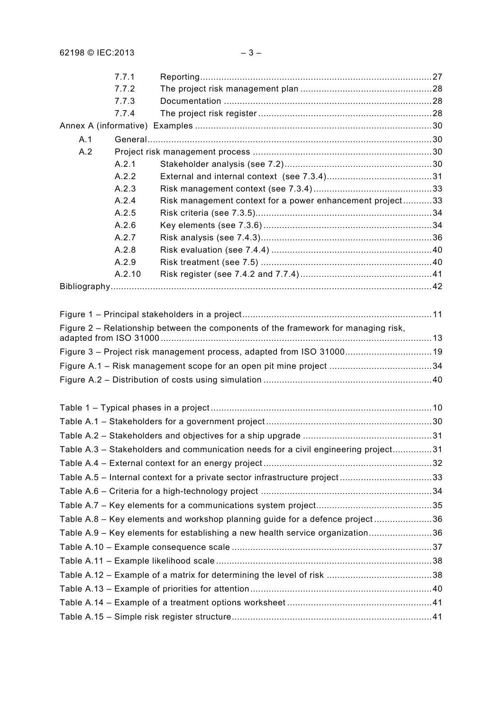|     | 7.7.1  |                                                                                    |  |
|-----|--------|------------------------------------------------------------------------------------|--|
|     | 7.7.2  |                                                                                    |  |
|     | 7.7.3  |                                                                                    |  |
|     | 7.7.4  |                                                                                    |  |
|     |        |                                                                                    |  |
| A.1 |        |                                                                                    |  |
| A.2 |        |                                                                                    |  |
|     | A.2.1  |                                                                                    |  |
|     | A.2.2  |                                                                                    |  |
|     | A.2.3  |                                                                                    |  |
|     | A.2.4  | Risk management context for a power enhancement project33                          |  |
|     | A.2.5  |                                                                                    |  |
|     | A.2.6  |                                                                                    |  |
|     | A.2.7  |                                                                                    |  |
|     | A.2.8  |                                                                                    |  |
|     | A.2.9  |                                                                                    |  |
|     | A.2.10 |                                                                                    |  |
|     |        |                                                                                    |  |
|     |        | Figure 3 - Project risk management process, adapted from ISO 3100019               |  |
|     |        |                                                                                    |  |
|     |        |                                                                                    |  |
|     |        |                                                                                    |  |
|     |        |                                                                                    |  |
|     |        |                                                                                    |  |
|     |        | Table A.3 - Stakeholders and communication needs for a civil engineering project31 |  |
|     |        |                                                                                    |  |
|     |        | Table A.5 - Internal context for a private sector infrastructure project33         |  |
|     |        |                                                                                    |  |
|     |        |                                                                                    |  |
|     |        | Table A.8 - Key elements and workshop planning guide for a defence project 36      |  |
|     |        | Table A.9 - Key elements for establishing a new health service organization36      |  |
|     |        |                                                                                    |  |
|     |        |                                                                                    |  |
|     |        |                                                                                    |  |
|     |        |                                                                                    |  |
|     |        |                                                                                    |  |
|     |        |                                                                                    |  |
|     |        |                                                                                    |  |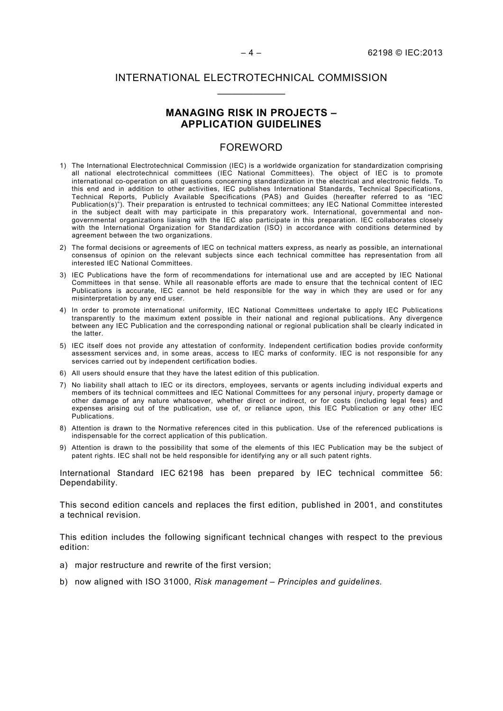## INTERNATIONAL ELECTROTECHNICAL COMMISSION \_\_\_\_\_\_\_\_\_\_\_\_

## **MANAGING RISK IN PROJECTS – APPLICATION GUIDELINES**

## FOREWORD

- <span id="page-3-0"></span>1) The International Electrotechnical Commission (IEC) is a worldwide organization for standardization comprising all national electrotechnical committees (IEC National Committees). The object of IEC is to promote international co-operation on all questions concerning standardization in the electrical and electronic fields. To this end and in addition to other activities, IEC publishes International Standards, Technical Specifications, Technical Reports, Publicly Available Specifications (PAS) and Guides (hereafter referred to as "IEC Publication(s)"). Their preparation is entrusted to technical committees; any IEC National Committee interested in the subject dealt with may participate in this preparatory work. International, governmental and nongovernmental organizations liaising with the IEC also participate in this preparation. IEC collaborates closely with the International Organization for Standardization (ISO) in accordance with conditions determined by agreement between the two organizations.
- 2) The formal decisions or agreements of IEC on technical matters express, as nearly as possible, an international consensus of opinion on the relevant subjects since each technical committee has representation from all interested IEC National Committees.
- 3) IEC Publications have the form of recommendations for international use and are accepted by IEC National Committees in that sense. While all reasonable efforts are made to ensure that the technical content of IEC Publications is accurate, IEC cannot be held responsible for the way in which they are used or for any misinterpretation by any end user.
- 4) In order to promote international uniformity, IEC National Committees undertake to apply IEC Publications transparently to the maximum extent possible in their national and regional publications. Any divergence between any IEC Publication and the corresponding national or regional publication shall be clearly indicated in the latter.
- 5) IEC itself does not provide any attestation of conformity. Independent certification bodies provide conformity assessment services and, in some areas, access to IEC marks of conformity. IEC is not responsible for any services carried out by independent certification bodies.
- 6) All users should ensure that they have the latest edition of this publication.
- 7) No liability shall attach to IEC or its directors, employees, servants or agents including individual experts and members of its technical committees and IEC National Committees for any personal injury, property damage or other damage of any nature whatsoever, whether direct or indirect, or for costs (including legal fees) and expenses arising out of the publication, use of, or reliance upon, this IEC Publication or any other IEC Publications.
- 8) Attention is drawn to the Normative references cited in this publication. Use of the referenced publications is indispensable for the correct application of this publication.
- 9) Attention is drawn to the possibility that some of the elements of this IEC Publication may be the subject of patent rights. IEC shall not be held responsible for identifying any or all such patent rights.

International Standard IEC 62198 has been prepared by IEC technical committee 56: Dependability.

This second edition cancels and replaces the first edition, published in 2001, and constitutes a technical revision.

This edition includes the following significant technical changes with respect to the previous edition:

- a) major restructure and rewrite of the first version;
- b) now aligned with ISO 31000, *Risk management Principles and guidelines.*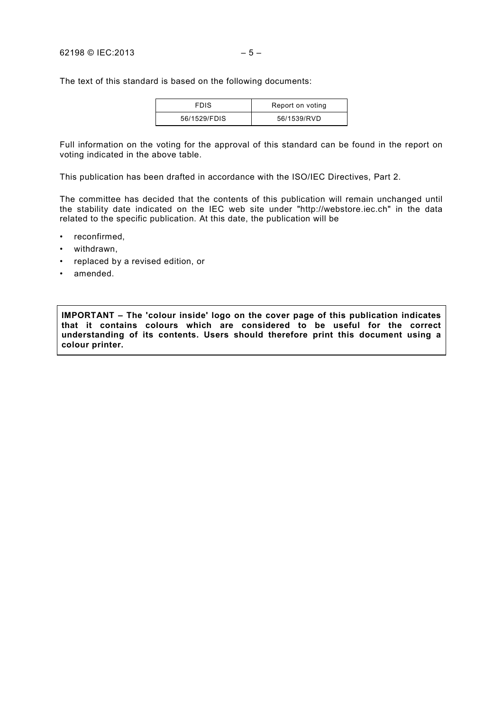The text of this standard is based on the following documents:

| FDIS         | Report on voting |
|--------------|------------------|
| 56/1529/FDIS | 56/1539/RVD      |

Full information on the voting for the approval of this standard can be found in the report on voting indicated in the above table.

This publication has been drafted in accordance with the ISO/IEC Directives, Part 2.

The committee has decided that the contents of this publication will remain unchanged until the stability date indicated on the IEC web site under "http://webstore.iec.ch" in the data related to the specific publication. At this date, the publication will be

- reconfirmed,
- withdrawn,
- replaced by a revised edition, or
- amended.

**IMPORTANT – The 'colour inside' logo on the cover page of this publication indicates that it contains colours which are considered to be useful for the correct understanding of its contents. Users should therefore print this document using a colour printer.**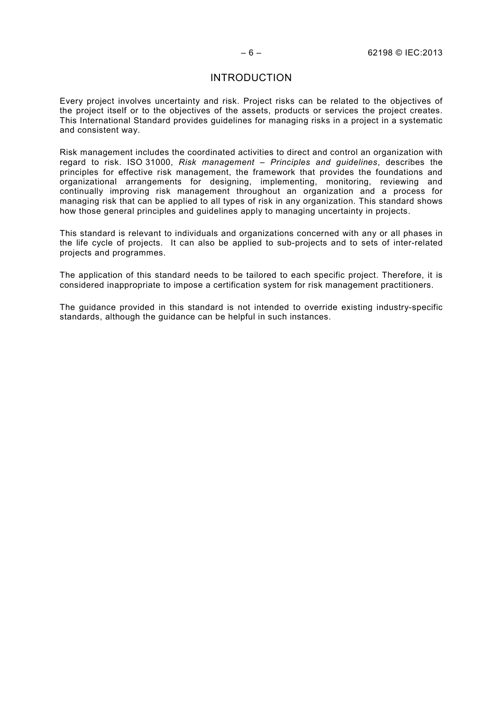## INTRODUCTION

<span id="page-5-0"></span>Every project involves uncertainty and risk. Project risks can be related to the objectives of the project itself or to the objectives of the assets, products or services the project creates. This International Standard provides guidelines for managing risks in a project in a systematic and consistent way.

Risk management includes the coordinated activities to direct and control an organization with regard to risk. ISO 31000, *Risk management – Principles and guidelines*, describes the principles for effective risk management, the framework that provides the foundations and organizational arrangements for designing, implementing, monitoring, reviewing and continually improving risk management throughout an organization and a process for managing risk that can be applied to all types of risk in any organization. This standard shows how those general principles and guidelines apply to managing uncertainty in projects.

This standard is relevant to individuals and organizations concerned with any or all phases in the life cycle of projects. It can also be applied to sub-projects and to sets of inter-related projects and programmes.

The application of this standard needs to be tailored to each specific project. Therefore, it is considered inappropriate to impose a certification system for risk management practitioners.

The guidance provided in this standard is not intended to override existing industry-specific standards, although the guidance can be helpful in such instances.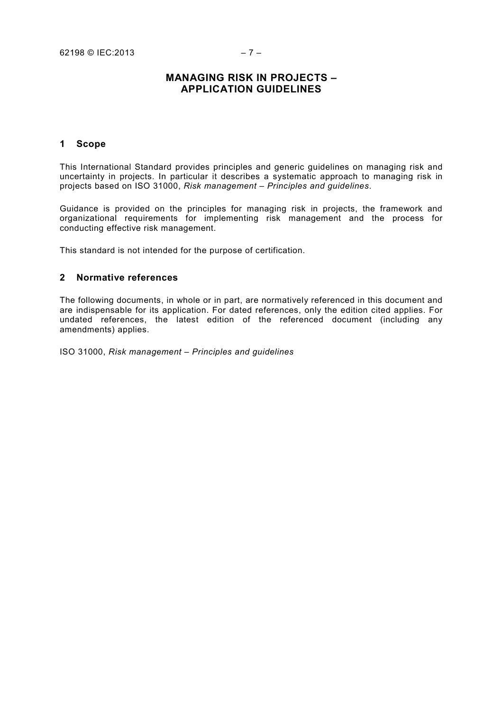# **MANAGING RISK IN PROJECTS – APPLICATION GUIDELINES**

## <span id="page-6-0"></span>**1 Scope**

This International Standard provides principles and generic guidelines on managing risk and uncertainty in projects. In particular it describes a systematic approach to managing risk in projects based on ISO 31000, *Risk management – Principles and guidelines*.

Guidance is provided on the principles for managing risk in projects, the framework and organizational requirements for implementing risk management and the process for conducting effective risk management.

This standard is not intended for the purpose of certification.

## <span id="page-6-1"></span>**2 Normative references**

The following documents, in whole or in part, are normatively referenced in this document and are indispensable for its application. For dated references, only the edition cited applies. For undated references, the latest edition of the referenced document (including any amendments) applies.

<span id="page-6-2"></span>ISO 31000, *Risk management – Principles and guidelines*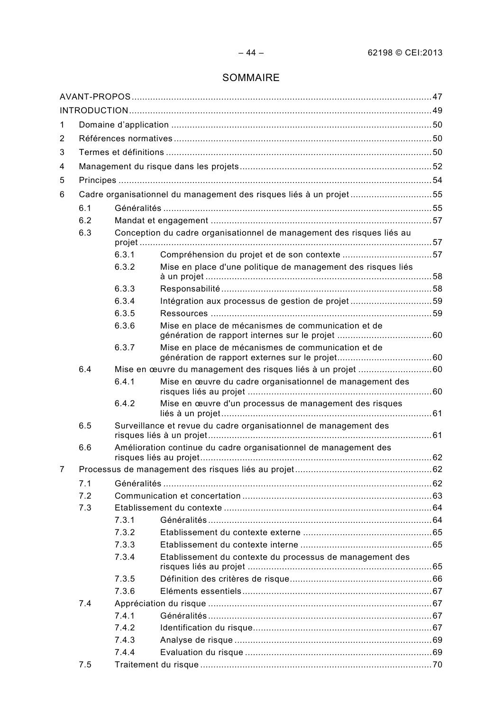# SOMMAIRE

| 1              |     |       |                                                                       |  |
|----------------|-----|-------|-----------------------------------------------------------------------|--|
| $\overline{2}$ |     |       |                                                                       |  |
| 3              |     |       |                                                                       |  |
| 4              |     |       |                                                                       |  |
| 5              |     |       |                                                                       |  |
| 6              |     |       | Cadre organisationnel du management des risques liés à un projet55    |  |
|                | 6.1 |       |                                                                       |  |
|                | 6.2 |       |                                                                       |  |
|                | 6.3 |       | Conception du cadre organisationnel de management des risques liés au |  |
|                |     |       |                                                                       |  |
|                |     | 6.3.1 |                                                                       |  |
|                |     | 6.3.2 | Mise en place d'une politique de management des risques liés          |  |
|                |     | 6.3.3 |                                                                       |  |
|                |     | 6.3.4 | Intégration aux processus de gestion de projet59                      |  |
|                |     | 6.3.5 |                                                                       |  |
|                |     | 6.3.6 | Mise en place de mécanismes de communication et de                    |  |
|                |     | 6.3.7 | Mise en place de mécanismes de communication et de                    |  |
|                | 6.4 |       | Mise en œuvre du management des risques liés à un projet 60           |  |
|                |     | 6.4.1 | Mise en œuvre du cadre organisationnel de management des              |  |
|                |     | 6.4.2 | Mise en œuvre d'un processus de management des risques                |  |
|                | 6.5 |       | Surveillance et revue du cadre organisationnel de management des      |  |
|                | 6.6 |       | Amélioration continue du cadre organisationnel de management des      |  |
| 7              |     |       |                                                                       |  |
|                | 7.1 |       |                                                                       |  |
|                | 7.2 |       |                                                                       |  |
|                | 7.3 |       |                                                                       |  |
|                |     | 7.3.1 |                                                                       |  |
|                |     | 7.3.2 |                                                                       |  |
|                |     | 7.3.3 |                                                                       |  |
|                |     | 7.3.4 | Etablissement du contexte du processus de management des              |  |
|                |     | 7.3.5 |                                                                       |  |
|                |     | 7.3.6 |                                                                       |  |
|                | 7.4 |       |                                                                       |  |
|                |     | 7.4.1 |                                                                       |  |
|                |     | 7.4.2 |                                                                       |  |
|                |     | 7.4.3 |                                                                       |  |
|                |     | 7.4.4 |                                                                       |  |
|                | 7.5 |       |                                                                       |  |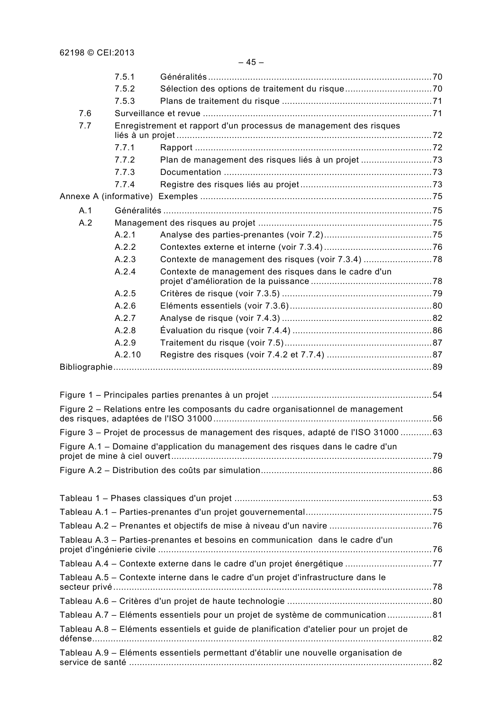|                                                                                 | 7.5.1                                                              |                                                                                         |  |
|---------------------------------------------------------------------------------|--------------------------------------------------------------------|-----------------------------------------------------------------------------------------|--|
|                                                                                 | 7.5.2                                                              |                                                                                         |  |
|                                                                                 | 7.5.3                                                              |                                                                                         |  |
| 7.6                                                                             |                                                                    |                                                                                         |  |
| 7.7                                                                             | Enregistrement et rapport d'un processus de management des risques |                                                                                         |  |
|                                                                                 |                                                                    |                                                                                         |  |
|                                                                                 | 7.7.1                                                              |                                                                                         |  |
|                                                                                 | 7.7.2                                                              |                                                                                         |  |
|                                                                                 | 7.7.3                                                              |                                                                                         |  |
|                                                                                 | 7.7.4                                                              |                                                                                         |  |
|                                                                                 |                                                                    |                                                                                         |  |
| A.1                                                                             |                                                                    |                                                                                         |  |
| A.2                                                                             |                                                                    |                                                                                         |  |
|                                                                                 | A.2.1                                                              |                                                                                         |  |
|                                                                                 | A.2.2                                                              |                                                                                         |  |
|                                                                                 | A.2.3                                                              |                                                                                         |  |
|                                                                                 | A.2.4                                                              | Contexte de management des risques dans le cadre d'un                                   |  |
|                                                                                 | A.2.5                                                              |                                                                                         |  |
|                                                                                 | A.2.6                                                              |                                                                                         |  |
|                                                                                 | A.2.7                                                              |                                                                                         |  |
|                                                                                 | A.2.8                                                              |                                                                                         |  |
|                                                                                 | A.2.9                                                              |                                                                                         |  |
|                                                                                 | A.2.10                                                             |                                                                                         |  |
|                                                                                 |                                                                    |                                                                                         |  |
|                                                                                 |                                                                    |                                                                                         |  |
|                                                                                 |                                                                    |                                                                                         |  |
|                                                                                 |                                                                    | Figure 2 - Relations entre les composants du cadre organisationnel de management        |  |
|                                                                                 |                                                                    | Figure 3 – Projet de processus de management des risques, adapté de l'ISO 31000 63      |  |
|                                                                                 |                                                                    | Figure A.1 - Domaine d'application du management des risques dans le cadre d'un         |  |
|                                                                                 |                                                                    |                                                                                         |  |
|                                                                                 |                                                                    |                                                                                         |  |
|                                                                                 |                                                                    |                                                                                         |  |
|                                                                                 |                                                                    |                                                                                         |  |
|                                                                                 |                                                                    |                                                                                         |  |
|                                                                                 |                                                                    | Tableau A.3 - Parties-prenantes et besoins en communication dans le cadre d'un          |  |
|                                                                                 |                                                                    | Tableau A.4 - Contexte externe dans le cadre d'un projet énergétique 77                 |  |
|                                                                                 |                                                                    |                                                                                         |  |
|                                                                                 |                                                                    | Tableau A.5 – Contexte interne dans le cadre d'un projet d'infrastructure dans le       |  |
|                                                                                 |                                                                    |                                                                                         |  |
| Tableau A.7 - Eléments essentiels pour un projet de système de communication 81 |                                                                    |                                                                                         |  |
|                                                                                 |                                                                    | Tableau A.8 - Eléments essentiels et guide de planification d'atelier pour un projet de |  |
|                                                                                 |                                                                    | Tableau A.9 - Eléments essentiels permettant d'établir une nouvelle organisation de     |  |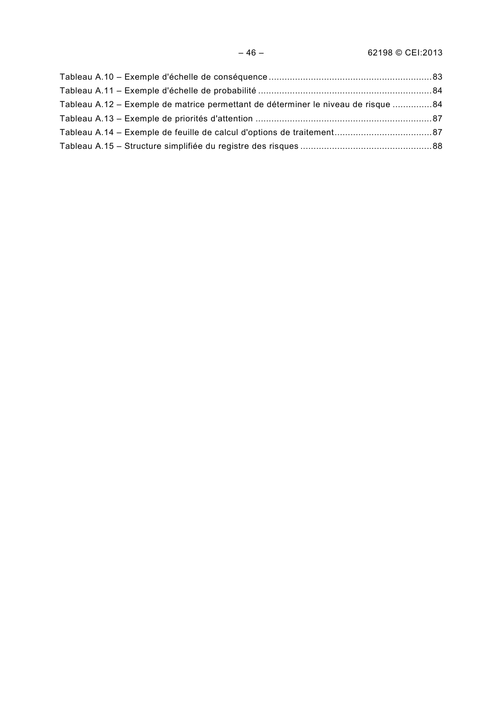| Tableau A.12 – Exemple de matrice permettant de déterminer le niveau de risque 84 |  |
|-----------------------------------------------------------------------------------|--|
|                                                                                   |  |
|                                                                                   |  |
|                                                                                   |  |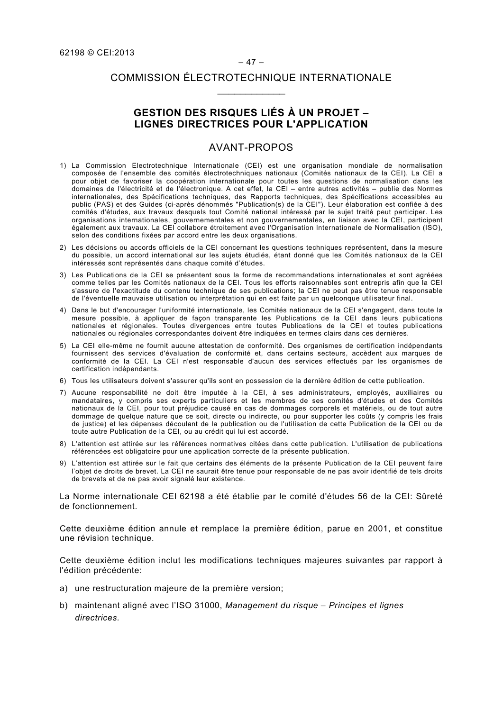# COMMISSION ÉLECTROTECHNIQUE INTERNATIONALE \_\_\_\_\_\_\_\_\_\_\_\_

## **GESTION DES RISQUES LIÉS À UN PROJET – LIGNES DIRECTRICES POUR L'APPLICATION**

## AVANT-PROPOS

- <span id="page-10-0"></span>1) La Commission Electrotechnique Internationale (CEI) est une organisation mondiale de normalisation composée de l'ensemble des comités électrotechniques nationaux (Comités nationaux de la CEI). La CEI a pour objet de favoriser la coopération internationale pour toutes les questions de normalisation dans les domaines de l'électricité et de l'électronique. A cet effet, la CEI – entre autres activités – publie des Normes internationales, des Spécifications techniques, des Rapports techniques, des Spécifications accessibles au public (PAS) et des Guides (ci-après dénommés "Publication(s) de la CEI"). Leur élaboration est confiée à des comités d'études, aux travaux desquels tout Comité national intéressé par le sujet traité peut participer. Les organisations internationales, gouvernementales et non gouvernementales, en liaison avec la CEI, participent également aux travaux. La CEI collabore étroitement avec l'Organisation Internationale de Normalisation (ISO), selon des conditions fixées par accord entre les deux organisations.
- 2) Les décisions ou accords officiels de la CEI concernant les questions techniques représentent, dans la mesure du possible, un accord international sur les sujets étudiés, étant donné que les Comités nationaux de la CEI intéressés sont représentés dans chaque comité d'études.
- 3) Les Publications de la CEI se présentent sous la forme de recommandations internationales et sont agréées comme telles par les Comités nationaux de la CEI. Tous les efforts raisonnables sont entrepris afin que la CEI s'assure de l'exactitude du contenu technique de ses publications; la CEI ne peut pas être tenue responsable de l'éventuelle mauvaise utilisation ou interprétation qui en est faite par un quelconque utilisateur final.
- 4) Dans le but d'encourager l'uniformité internationale, les Comités nationaux de la CEI s'engagent, dans toute la mesure possible, à appliquer de façon transparente les Publications de la CEI dans leurs publications nationales et régionales. Toutes divergences entre toutes Publications de la CEI et toutes publications nationales ou régionales correspondantes doivent être indiquées en termes clairs dans ces dernières.
- 5) La CEI elle-même ne fournit aucune attestation de conformité. Des organismes de certification indépendants fournissent des services d'évaluation de conformité et, dans certains secteurs, accèdent aux marques de conformité de la CEI. La CEI n'est responsable d'aucun des services effectués par les organismes de certification indépendants.
- 6) Tous les utilisateurs doivent s'assurer qu'ils sont en possession de la dernière édition de cette publication.
- 7) Aucune responsabilité ne doit être imputée à la CEI, à ses administrateurs, employés, auxiliaires ou mandataires, y compris ses experts particuliers et les membres de ses comités d'études et des Comités nationaux de la CEI, pour tout préjudice causé en cas de dommages corporels et matériels, ou de tout autre dommage de quelque nature que ce soit, directe ou indirecte, ou pour supporter les coûts (y compris les frais de justice) et les dépenses découlant de la publication ou de l'utilisation de cette Publication de la CEI ou de toute autre Publication de la CEI, ou au crédit qui lui est accordé.
- 8) L'attention est attirée sur les références normatives citées dans cette publication. L'utilisation de publications référencées est obligatoire pour une application correcte de la présente publication.
- 9) L'attention est attirée sur le fait que certains des éléments de la présente Publication de la CEI peuvent faire l'objet de droits de brevet. La CEI ne saurait être tenue pour responsable de ne pas avoir identifié de tels droits de brevets et de ne pas avoir signalé leur existence.

La Norme internationale CEI 62198 a été établie par le comité d'études 56 de la CEI: Sûreté de fonctionnement.

Cette deuxième édition annule et remplace la première édition, parue en 2001, et constitue une révision technique.

Cette deuxième édition inclut les modifications techniques majeures suivantes par rapport à l'édition précédente:

- a) une restructuration majeure de la première version;
- b) maintenant aligné avec l'ISO 31000, *Management du risque Principes et lignes directrices.*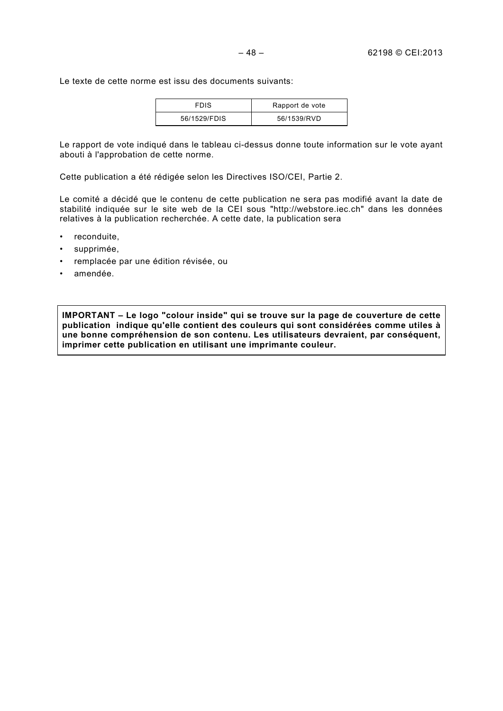Le texte de cette norme est issu des documents suivants:

| <b>FDIS</b>  | Rapport de vote |
|--------------|-----------------|
| 56/1529/FDIS | 56/1539/RVD     |

Le rapport de vote indiqué dans le tableau ci-dessus donne toute information sur le vote ayant abouti à l'approbation de cette norme.

Cette publication a été rédigée selon les Directives ISO/CEI, Partie 2.

Le comité a décidé que le contenu de cette publication ne sera pas modifié avant la date de stabilité indiquée sur le site web de la CEI sous "http://webstore.iec.ch" dans les données relatives à la publication recherchée. A cette date, la publication sera

- reconduite,
- supprimée,
- remplacée par une édition révisée, ou
- amendée.

**IMPORTANT – Le logo "colour inside" qui se trouve sur la page de couverture de cette publication indique qu'elle contient des couleurs qui sont considérées comme utiles à une bonne compréhension de son contenu. Les utilisateurs devraient, par conséquent, imprimer cette publication en utilisant une imprimante couleur.**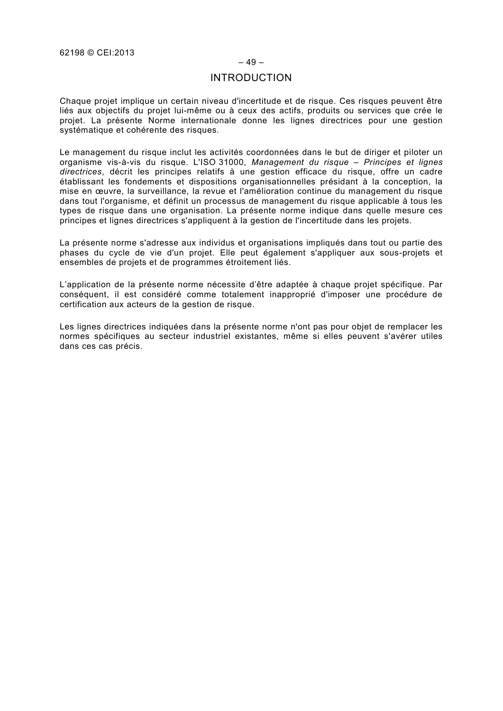## INTRODUCTION

<span id="page-12-0"></span>Chaque projet implique un certain niveau d'incertitude et de risque. Ces risques peuvent être liés aux objectifs du projet lui-même ou à ceux des actifs, produits ou services que crée le projet. La présente Norme internationale donne les lignes directrices pour une gestion systématique et cohérente des risques.

Le management du risque inclut les activités coordonnées dans le but de diriger et piloter un organisme vis-à-vis du risque. L'ISO 31000, *Management du risque – Principes et lignes directrices*, décrit les principes relatifs à une gestion efficace du risque, offre un cadre établissant les fondements et dispositions organisationnelles présidant à la conception, la mise en œuvre, la surveillance, la revue et l'amélioration continue du management du risque dans tout l'organisme, et définit un processus de management du risque applicable à tous les types de risque dans une organisation. La présente norme indique dans quelle mesure ces principes et lignes directrices s'appliquent à la gestion de l'incertitude dans les projets.

La présente norme s'adresse aux individus et organisations impliqués dans tout ou partie des phases du cycle de vie d'un projet. Elle peut également s'appliquer aux sous-projets et ensembles de projets et de programmes étroitement liés.

L'application de la présente norme nécessite d'être adaptée à chaque projet spécifique. Par conséquent, il est considéré comme totalement inapproprié d'imposer une procédure de certification aux acteurs de la gestion de risque.

Les lignes directrices indiquées dans la présente norme n'ont pas pour objet de remplacer les normes spécifiques au secteur industriel existantes, même si elles peuvent s'avérer utiles dans ces cas précis.